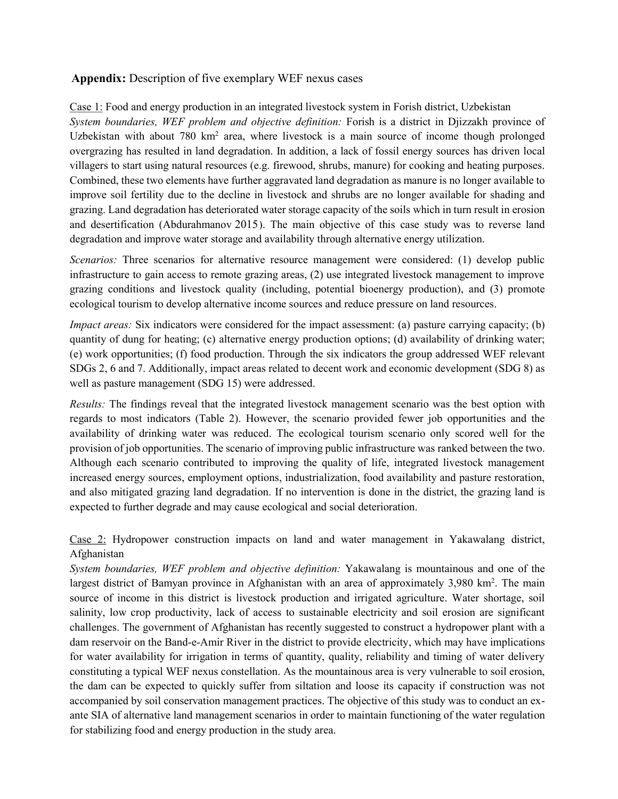## **Appendix:** Description of five exemplary WEF nexus cases

Case 1: Food and energy production in an integrated livestock system in Forish district, Uzbekistan *System boundaries, WEF problem and objective definition:* Forish is a district in Djizzakh province of Uzbekistan with about 780 km<sup>2</sup> area, where livestock is a main source of income though prolonged overgrazing has resulted in land degradation. In addition, a lack of fossil energy sources has driven local villagers to start using natural resources (e.g. firewood, shrubs, manure) for cooking and heating purposes. Combined, these two elements have further aggravated land degradation as manure is no longer available to improve soil fertility due to the decline in livestock and shrubs are no longer available for shading and grazing. Land degradation has deteriorated water storage capacity of the soils which in turn result in erosion and desertification (Abdurahmanov 2013). The main objective of this case study was to reverse land 2015degradation and improve water storage and availability through alternative energy utilization.

*Scenarios:* Three scenarios for alternative resource management were considered: (1) develop public infrastructure to gain access to remote grazing areas, (2) use integrated livestock management to improve grazing conditions and livestock quality (including, potential bioenergy production), and (3) promote ecological tourism to develop alternative income sources and reduce pressure on land resources.

*Impact areas:* Six indicators were considered for the impact assessment: (a) pasture carrying capacity; (b) quantity of dung for heating; (c) alternative energy production options; (d) availability of drinking water; (e) work opportunities; (f) food production. Through the six indicators the group addressed WEF relevant SDGs 2, 6 and 7. Additionally, impact areas related to decent work and economic development (SDG 8) as well as pasture management (SDG 15) were addressed.

*Results:* The findings reveal that the integrated livestock management scenario was the best option with regards to most indicators (Table 2). However, the scenario provided fewer job opportunities and the availability of drinking water was reduced. The ecological tourism scenario only scored well for the provision of job opportunities. The scenario of improving public infrastructure was ranked between the two. Although each scenario contributed to improving the quality of life, integrated livestock management increased energy sources, employment options, industrialization, food availability and pasture restoration, and also mitigated grazing land degradation. If no intervention is done in the district, the grazing land is expected to further degrade and may cause ecological and social deterioration.

Case 2: Hydropower construction impacts on land and water management in Yakawalang district, Afghanistan

*System boundaries, WEF problem and objective definition:* Yakawalang is mountainous and one of the largest district of Bamyan province in Afghanistan with an area of approximately 3,980 km<sup>2</sup>. The main source of income in this district is livestock production and irrigated agriculture. Water shortage, soil salinity, low crop productivity, lack of access to sustainable electricity and soil erosion are significant challenges. The government of Afghanistan has recently suggested to construct a hydropower plant with a dam reservoir on the Band-e-Amir River in the district to provide electricity, which may have implications for water availability for irrigation in terms of quantity, quality, reliability and timing of water delivery constituting a typical WEF nexus constellation. As the mountainous area is very vulnerable to soil erosion, the dam can be expected to quickly suffer from siltation and loose its capacity if construction was not accompanied by soil conservation management practices. The objective of this study was to conduct an exante SIA of alternative land management scenarios in order to maintain functioning of the water regulation for stabilizing food and energy production in the study area.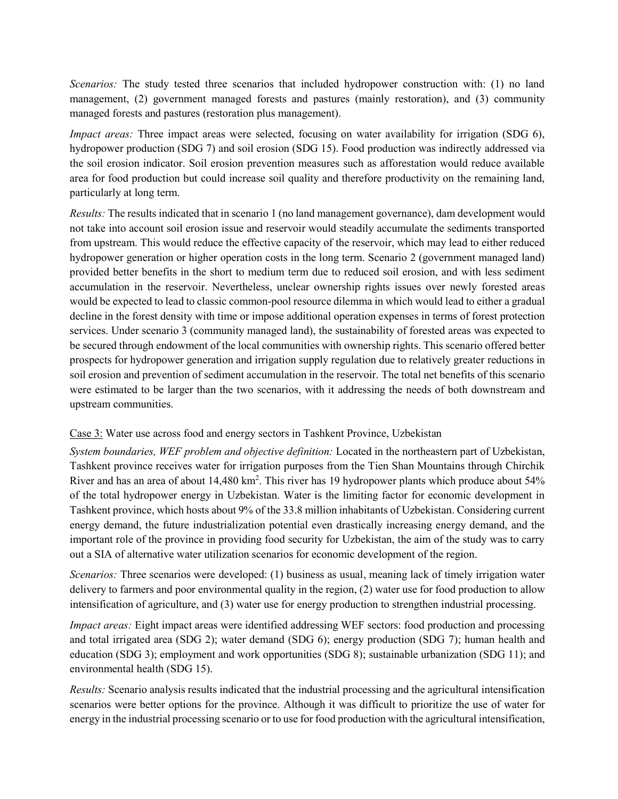*Scenarios:* The study tested three scenarios that included hydropower construction with: (1) no land management, (2) government managed forests and pastures (mainly restoration), and (3) community managed forests and pastures (restoration plus management).

*Impact areas:* Three impact areas were selected, focusing on water availability for irrigation (SDG 6), hydropower production (SDG 7) and soil erosion (SDG 15). Food production was indirectly addressed via the soil erosion indicator. Soil erosion prevention measures such as afforestation would reduce available area for food production but could increase soil quality and therefore productivity on the remaining land, particularly at long term.

*Results:* The results indicated that in scenario 1 (no land management governance), dam development would not take into account soil erosion issue and reservoir would steadily accumulate the sediments transported from upstream. This would reduce the effective capacity of the reservoir, which may lead to either reduced hydropower generation or higher operation costs in the long term. Scenario 2 (government managed land) provided better benefits in the short to medium term due to reduced soil erosion, and with less sediment accumulation in the reservoir. Nevertheless, unclear ownership rights issues over newly forested areas would be expected to lead to classic common-pool resource dilemma in which would lead to either a gradual decline in the forest density with time or impose additional operation expenses in terms of forest protection services. Under scenario 3 (community managed land), the sustainability of forested areas was expected to be secured through endowment of the local communities with ownership rights. This scenario offered better prospects for hydropower generation and irrigation supply regulation due to relatively greater reductions in soil erosion and prevention of sediment accumulation in the reservoir. The total net benefits of this scenario were estimated to be larger than the two scenarios, with it addressing the needs of both downstream and upstream communities.

## Case 3: Water use across food and energy sectors in Tashkent Province, Uzbekistan

*System boundaries, WEF problem and objective definition:* Located in the northeastern part of Uzbekistan, Tashkent province receives water for irrigation purposes from the Tien Shan Mountains through Chirchik River and has an area of about 14,480 km<sup>2</sup>. This river has 19 hydropower plants which produce about 54% of the total hydropower energy in Uzbekistan. Water is the limiting factor for economic development in Tashkent province, which hosts about 9% of the 33.8 million inhabitants of Uzbekistan. Considering current energy demand, the future industrialization potential even drastically increasing energy demand, and the important role of the province in providing food security for Uzbekistan, the aim of the study was to carry out a SIA of alternative water utilization scenarios for economic development of the region.

*Scenarios:* Three scenarios were developed: (1) business as usual, meaning lack of timely irrigation water delivery to farmers and poor environmental quality in the region, (2) water use for food production to allow intensification of agriculture, and (3) water use for energy production to strengthen industrial processing.

*Impact areas:* Eight impact areas were identified addressing WEF sectors: food production and processing and total irrigated area (SDG 2); water demand (SDG 6); energy production (SDG 7); human health and education (SDG 3); employment and work opportunities (SDG 8); sustainable urbanization (SDG 11); and environmental health (SDG 15).

*Results:* Scenario analysis results indicated that the industrial processing and the agricultural intensification scenarios were better options for the province. Although it was difficult to prioritize the use of water for energy in the industrial processing scenario or to use for food production with the agricultural intensification,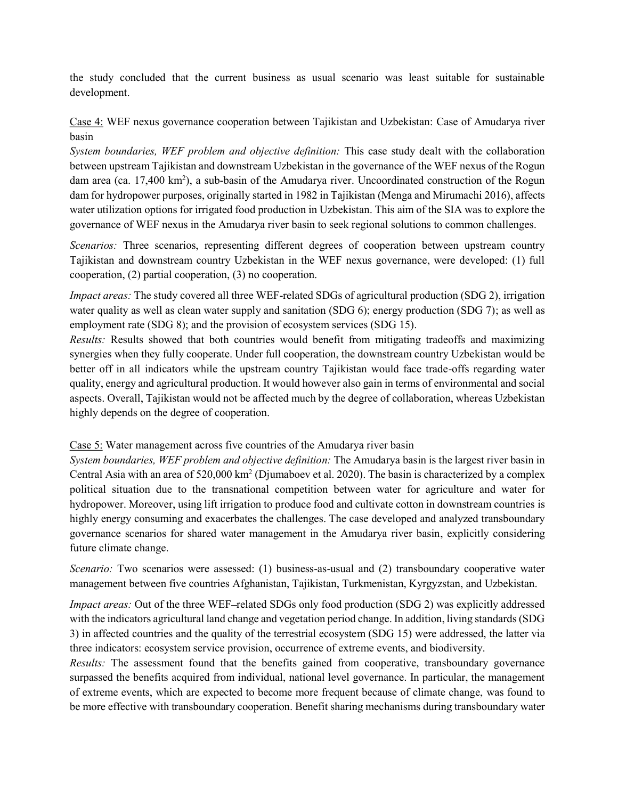the study concluded that the current business as usual scenario was least suitable for sustainable development.

Case 4: WEF nexus governance cooperation between Tajikistan and Uzbekistan: Case of Amudarya river basin

*System boundaries, WEF problem and objective definition:* This case study dealt with the collaboration between upstream Tajikistan and downstream Uzbekistan in the governance of the WEF nexus of the Rogun dam area (ca. 17,400 km<sup>2</sup>), a sub-basin of the Amudarya river. Uncoordinated construction of the Rogun dam for hydropower purposes, originally started in 1982 in Tajikistan (Menga and Mirumachi 2016), affects water utilization options for irrigated food production in Uzbekistan. This aim of the SIA was to explore the governance of WEF nexus in the Amudarya river basin to seek regional solutions to common challenges.

*Scenarios:* Three scenarios, representing different degrees of cooperation between upstream country Tajikistan and downstream country Uzbekistan in the WEF nexus governance, were developed: (1) full cooperation, (2) partial cooperation, (3) no cooperation.

*Impact areas:* The study covered all three WEF-related SDGs of agricultural production (SDG 2), irrigation water quality as well as clean water supply and sanitation (SDG 6); energy production (SDG 7); as well as employment rate (SDG 8); and the provision of ecosystem services (SDG 15).

*Results:* Results showed that both countries would benefit from mitigating tradeoffs and maximizing synergies when they fully cooperate. Under full cooperation, the downstream country Uzbekistan would be better off in all indicators while the upstream country Tajikistan would face trade-offs regarding water quality, energy and agricultural production. It would however also gain in terms of environmental and social aspects. Overall, Tajikistan would not be affected much by the degree of collaboration, whereas Uzbekistan highly depends on the degree of cooperation.

## Case 5: Water management across five countries of the Amudarya river basin

*System boundaries, WEF problem and objective definition:* The Amudarya basin is the largest river basin in Central Asia with an area of  $520,000 \text{ km}^2$  (Djumaboev et al. 2020). The basin is characterized by a complex political situation due to the transnational competition between water for agriculture and water for hydropower. Moreover, using lift irrigation to produce food and cultivate cotton in downstream countries is highly energy consuming and exacerbates the challenges. The case developed and analyzed transboundary governance scenarios for shared water management in the Amudarya river basin, explicitly considering future climate change.

*Scenario:* Two scenarios were assessed: (1) business-as-usual and (2) transboundary cooperative water management between five countries Afghanistan, Tajikistan, Turkmenistan, Kyrgyzstan, and Uzbekistan.

*Impact areas:* Out of the three WEF-related SDGs only food production (SDG 2) was explicitly addressed with the indicators agricultural land change and vegetation period change. In addition, living standards (SDG 3) in affected countries and the quality of the terrestrial ecosystem (SDG 15) were addressed, the latter via three indicators: ecosystem service provision, occurrence of extreme events, and biodiversity.

*Results:* The assessment found that the benefits gained from cooperative, transboundary governance surpassed the benefits acquired from individual, national level governance. In particular, the management of extreme events, which are expected to become more frequent because of climate change, was found to be more effective with transboundary cooperation. Benefit sharing mechanisms during transboundary water